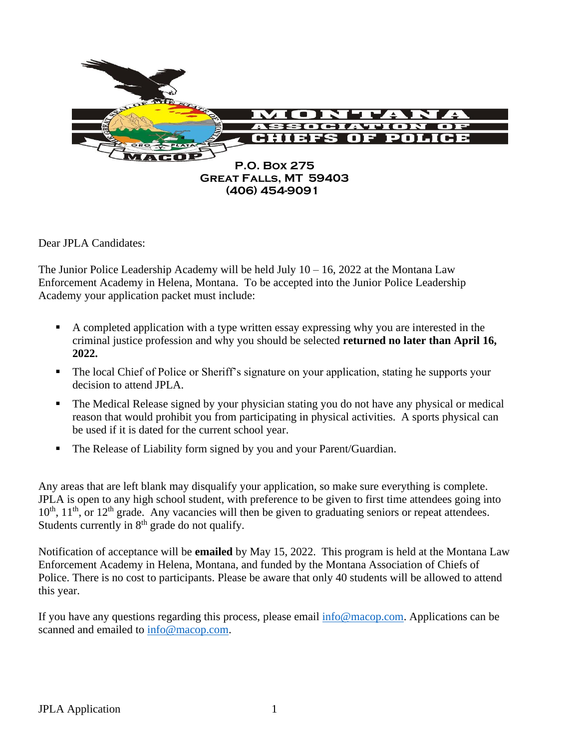

Dear JPLA Candidates:

The Junior Police Leadership Academy will be held July  $10 - 16$ , 2022 at the Montana Law Enforcement Academy in Helena, Montana. To be accepted into the Junior Police Leadership Academy your application packet must include:

- A completed application with a type written essay expressing why you are interested in the criminal justice profession and why you should be selected **returned no later than April 16, 2022.**
- The local Chief of Police or Sheriff's signature on your application, stating he supports your decision to attend JPLA.
- **•** The Medical Release signed by your physician stating you do not have any physical or medical reason that would prohibit you from participating in physical activities. A sports physical can be used if it is dated for the current school year.
- The Release of Liability form signed by you and your Parent/Guardian.

Any areas that are left blank may disqualify your application, so make sure everything is complete. JPLA is open to any high school student, with preference to be given to first time attendees going into  $10<sup>th</sup>$ ,  $11<sup>th</sup>$ , or  $12<sup>th</sup>$  grade. Any vacancies will then be given to graduating seniors or repeat attendees. Students currently in  $8<sup>th</sup>$  grade do not qualify.

Notification of acceptance will be **emailed** by May 15, 2022. This program is held at the Montana Law Enforcement Academy in Helena, Montana, and funded by the Montana Association of Chiefs of Police. There is no cost to participants. Please be aware that only 40 students will be allowed to attend this year.

If you have any questions regarding this process, please email [info@macop.com.](mailto:info@macop.com) Applications can be scanned and emailed to [info@macop.com.](mailto:info@macop.com)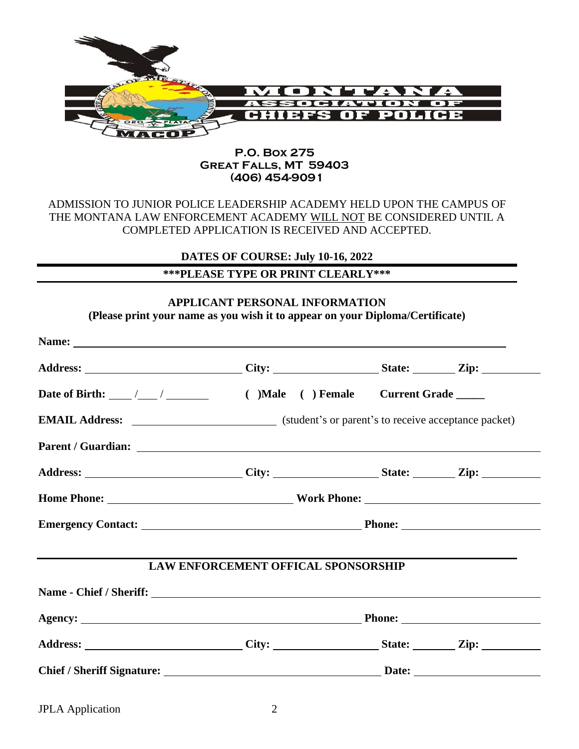

#### **P.O. Box 275 Great Falls, MT 59403 (406) 454-9091**

## ADMISSION TO JUNIOR POLICE LEADERSHIP ACADEMY HELD UPON THE CAMPUS OF THE MONTANA LAW ENFORCEMENT ACADEMY WILL NOT BE CONSIDERED UNTIL A COMPLETED APPLICATION IS RECEIVED AND ACCEPTED.

**DATES OF COURSE: July 10-16, 2022**

# **\*\*\*PLEASE TYPE OR PRINT CLEARLY\*\*\***

### **APPLICANT PERSONAL INFORMATION (Please print your name as you wish it to appear on your Diploma/Certificate)**

|  |  | Address: ____________________________City: _____________________State: _________Zip: ______________<br>Address: ____________________________City: ____________________State: _________Zip: _______________<br>Home Phone: Nork Phone: Nork Phone:<br>LAW ENFORCEMENT OFFICAL SPONSORSHIP |
|--|--|------------------------------------------------------------------------------------------------------------------------------------------------------------------------------------------------------------------------------------------------------------------------------------------|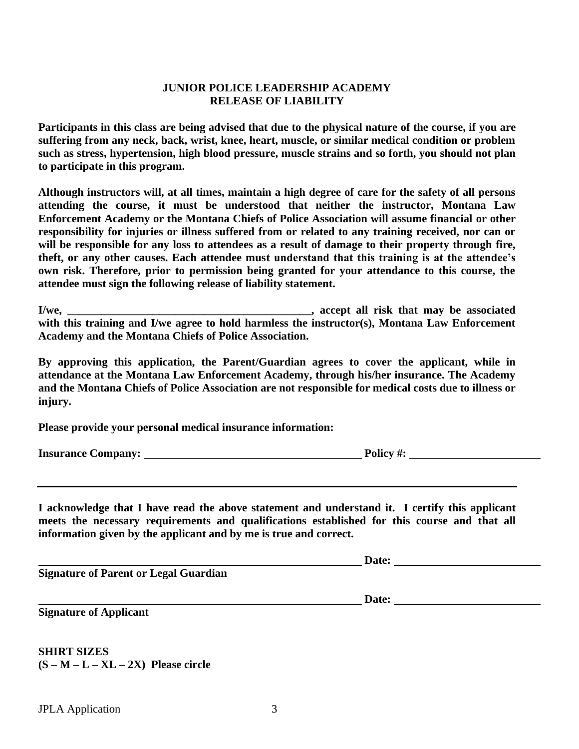#### **JUNIOR POLICE LEADERSHIP ACADEMY RELEASE OF LIABILITY**

**Participants in this class are being advised that due to the physical nature of the course, if you are suffering from any neck, back, wrist, knee, heart, muscle, or similar medical condition or problem such as stress, hypertension, high blood pressure, muscle strains and so forth, you should not plan to participate in this program.**

**Although instructors will, at all times, maintain a high degree of care for the safety of all persons attending the course, it must be understood that neither the instructor, Montana Law Enforcement Academy or the Montana Chiefs of Police Association will assume financial or other responsibility for injuries or illness suffered from or related to any training received, nor can or will be responsible for any loss to attendees as a result of damage to their property through fire, theft, or any other causes. Each attendee must understand that this training is at the attendee's own risk. Therefore, prior to permission being granted for your attendance to this course, the attendee must sign the following release of liability statement.**

**I/we, \_\_\_\_\_\_\_\_\_\_\_\_\_\_\_\_\_\_\_\_\_\_\_\_\_\_\_\_\_\_\_\_\_\_\_\_\_\_\_\_\_\_\_, accept all risk that may be associated with this training and I/we agree to hold harmless the instructor(s), Montana Law Enforcement Academy and the Montana Chiefs of Police Association.**

**By approving this application, the Parent/Guardian agrees to cover the applicant, while in attendance at the Montana Law Enforcement Academy, through his/her insurance. The Academy and the Montana Chiefs of Police Association are not responsible for medical costs due to illness or injury.** 

**Please provide your personal medical insurance information:**

**Insurance Company: Policy #:**

**I acknowledge that I have read the above statement and understand it. I certify this applicant meets the necessary requirements and qualifications established for this course and that all information given by the applicant and by me is true and correct.**

**Signature of Parent or Legal Guardian**

**Date:** 

**Date:** 

**Signature of Applicant**

**SHIRT SIZES (S – M – L – XL – 2X) Please circle**